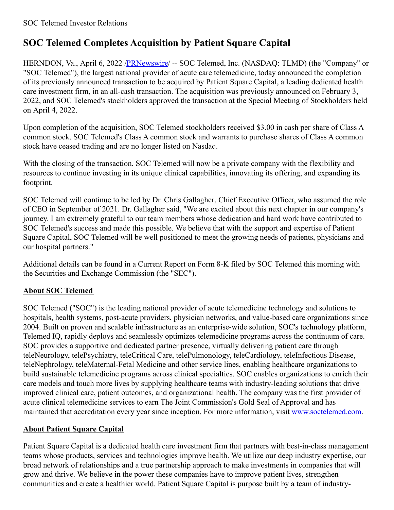# **SOC Telemed Completes Acquisition by Patient Square Capital**

HERNDON, Va., April 6, 2022 /**PRNewswire/ -- SOC Telemed**, Inc. (NASDAQ: TLMD) (the "Company" or "SOC Telemed"), the largest national provider of acute care telemedicine, today announced the completion of its previously announced transaction to be acquired by Patient Square Capital, a leading dedicated health care investment firm, in an all-cash transaction. The acquisition was previously announced on February 3, 2022, and SOC Telemed's stockholders approved the transaction at the Special Meeting of Stockholders held on April 4, 2022.

Upon completion of the acquisition, SOC Telemed stockholders received \$3.00 in cash per share of Class A common stock. SOC Telemed's Class A common stock and warrants to purchase shares of Class A common stock have ceased trading and are no longer listed on Nasdaq.

With the closing of the transaction, SOC Telemed will now be a private company with the flexibility and resources to continue investing in its unique clinical capabilities, innovating its offering, and expanding its footprint.

SOC Telemed will continue to be led by Dr. Chris Gallagher, Chief Executive Officer, who assumed the role of CEO in September of 2021. Dr. Gallagher said, "We are excited about this next chapter in our company's journey. I am extremely grateful to our team members whose dedication and hard work have contributed to SOC Telemed's success and made this possible. We believe that with the support and expertise of Patient Square Capital, SOC Telemed will be well positioned to meet the growing needs of patients, physicians and our hospital partners."

Additional details can be found in a Current Report on Form 8-K filed by SOC Telemed this morning with the Securities and Exchange Commission (the "SEC").

# **About SOC Telemed**

SOC Telemed ("SOC") is the leading national provider of acute telemedicine technology and solutions to hospitals, health systems, post-acute providers, physician networks, and value-based care organizations since 2004. Built on proven and scalable infrastructure as an enterprise-wide solution, SOC's technology platform, Telemed IQ, rapidly deploys and seamlessly optimizes telemedicine programs across the continuum of care. SOC provides a supportive and dedicated partner presence, virtually delivering patient care through teleNeurology, telePsychiatry, teleCritical Care, telePulmonology, teleCardiology, teleInfectious Disease, teleNephrology, teleMaternal-Fetal Medicine and other service lines, enabling healthcare organizations to build sustainable telemedicine programs across clinical specialties. SOC enables organizations to enrich their care models and touch more lives by supplying healthcare teams with industry-leading solutions that drive improved clinical care, patient outcomes, and organizational health. The company was the first provider of acute clinical telemedicine services to earn The Joint Commission's Gold Seal of Approval and has maintained that accreditation every year since inception. For more information, visit [www.soctelemed.com](https://c212.net/c/link/?t=0&l=en&o=3496063-1&h=569310195&u=http%3A%2F%2Fwww.soctelemed.com%2F&a=www.soctelemed.com).

# **About Patient Square Capital**

Patient Square Capital is a dedicated health care investment firm that partners with best-in-class management teams whose products, services and technologies improve health. We utilize our deep industry expertise, our broad network of relationships and a true partnership approach to make investments in companies that will grow and thrive. We believe in the power these companies have to improve patient lives, strengthen communities and create a healthier world. Patient Square Capital is purpose built by a team of industry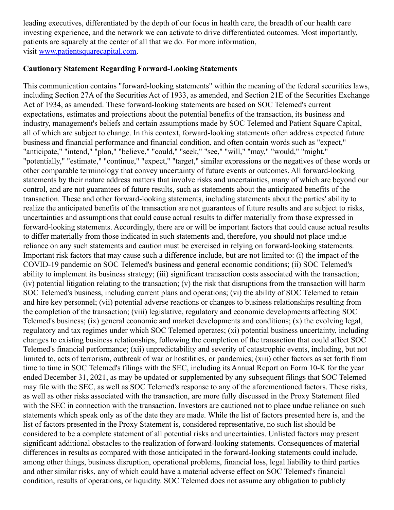leading executives, differentiated by the depth of our focus in health care, the breadth of our health care investing experience, and the network we can activate to drive differentiated outcomes. Most importantly, patients are squarely at the center of all that we do. For more information, visit [www.patientsquarecapital.com](https://c212.net/c/link/?t=0&l=en&o=3496063-1&h=3425960512&u=https%3A%2F%2Fwww.patientsquarecapital.com%2F&a=www.patientsquarecapital.com).

#### **Cautionary Statement Regarding Forward-Looking Statements**

This communication contains "forward-looking statements" within the meaning of the federal securities laws, including Section 27A of the Securities Act of 1933, as amended, and Section 21E of the Securities Exchange Act of 1934, as amended. These forward-looking statements are based on SOC Telemed's current expectations, estimates and projections about the potential benefits of the transaction, its business and industry, management's beliefs and certain assumptions made by SOC Telemed and Patient Square Capital, all of which are subject to change. In this context, forward-looking statements often address expected future business and financial performance and financial condition, and often contain words such as "expect," "anticipate," "intend," "plan," "believe," "could," "seek," "see," "will," "may," "would," "might," "potentially," "estimate," "continue," "expect," "target," similar expressions or the negatives of these words or other comparable terminology that convey uncertainty of future events or outcomes. All forward-looking statements by their nature address matters that involve risks and uncertainties, many of which are beyond our control, and are not guarantees of future results, such as statements about the anticipated benefits of the transaction. These and other forward-looking statements, including statements about the parties' ability to realize the anticipated benefits of the transaction are not guarantees of future results and are subject to risks, uncertainties and assumptions that could cause actual results to differ materially from those expressed in forward-looking statements. Accordingly, there are or will be important factors that could cause actual results to differ materially from those indicated in such statements and, therefore, you should not place undue reliance on any such statements and caution must be exercised in relying on forward-looking statements. Important risk factors that may cause such a difference include, but are not limited to: (i) the impact of the COVID-19 pandemic on SOC Telemed's business and general economic conditions; (ii) SOC Telemed's ability to implement its business strategy; (iii) significant transaction costs associated with the transaction; (iv) potential litigation relating to the transaction; (v) the risk that disruptions from the transaction will harm SOC Telemed's business, including current plans and operations; (vi) the ability of SOC Telemed to retain and hire key personnel; (vii) potential adverse reactions or changes to business relationships resulting from the completion of the transaction; (viii) legislative, regulatory and economic developments affecting SOC Telemed's business; (ix) general economic and market developments and conditions; (x) the evolving legal, regulatory and tax regimes under which SOC Telemed operates; (xi) potential business uncertainty, including changes to existing business relationships, following the completion of the transaction that could affect SOC Telemed's financial performance; (xii) unpredictability and severity of catastrophic events, including, but not limited to, acts of terrorism, outbreak of war or hostilities, or pandemics; (xiii) other factors as set forth from time to time in SOC Telemed's filings with the SEC, including its Annual Report on Form 10-K for the year ended December 31, 2021, as may be updated or supplemented by any subsequent filings that SOC Telemed may file with the SEC, as well as SOC Telemed's response to any of the aforementioned factors. These risks, as well as other risks associated with the transaction, are more fully discussed in the Proxy Statement filed with the SEC in connection with the transaction. Investors are cautioned not to place undue reliance on such statements which speak only as of the date they are made. While the list of factors presented here is, and the list of factors presented in the Proxy Statement is, considered representative, no such list should be considered to be a complete statement of all potential risks and uncertainties. Unlisted factors may present significant additional obstacles to the realization of forward-looking statements. Consequences of material differences in results as compared with those anticipated in the forward-looking statements could include, among other things, business disruption, operational problems, financial loss, legal liability to third parties and other similar risks, any of which could have a material adverse effect on SOC Telemed's financial condition, results of operations, or liquidity. SOC Telemed does not assume any obligation to publicly